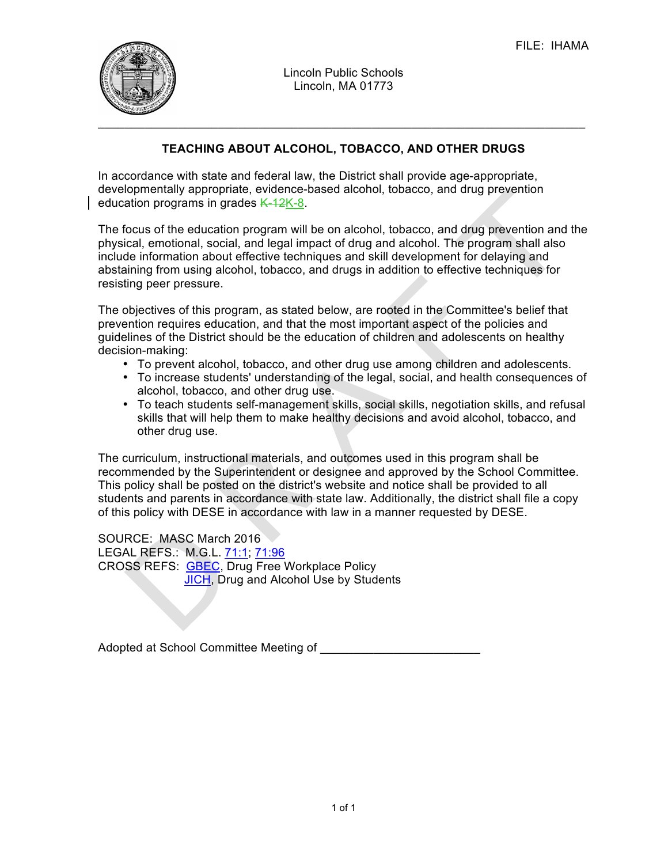

Lincoln Public Schools Lincoln, MA 01773

## **TEACHING ABOUT ALCOHOL, TOBACCO, AND OTHER DRUGS**

In accordance with state and federal law, the District shall provide age-appropriate, developmentally appropriate, evidence-based alcohol, tobacco, and drug prevention education programs in grades  $K-12K-8$ .

The focus of the education program will be on alcohol, tobacco, and drug prevention and the physical, emotional, social, and legal impact of drug and alcohol. The program shall also include information about effective techniques and skill development for delaying and abstaining from using alcohol, tobacco, and drugs in addition to effective techniques for resisting peer pressure.

The objectives of this program, as stated below, are rooted in the Committee's belief that prevention requires education, and that the most important aspect of the policies and guidelines of the District should be the education of children and adolescents on healthy decision-making:

- To prevent alcohol, tobacco, and other drug use among children and adolescents.
- To increase students' understanding of the legal, social, and health consequences of alcohol, tobacco, and other drug use.
- To teach students self-management skills, social skills, negotiation skills, and refusal skills that will help them to make healthy decisions and avoid alcohol, tobacco, and other drug use.

The curriculum, instructional materials, and outcomes used in this program shall be recommended by the Superintendent or designee and approved by the School Committee. This policy shall be posted on the district's website and notice shall be provided to all students and parents in accordance with state law. Additionally, the district shall file a copy of this policy with DESE in accordance with law in a manner requested by DESE.

SOURCE: MASC March 2016 LEGAL REFS.: M.G.L. 71:1; 71:96 CROSS REFS: GBEC, Drug Free Workplace Policy JICH, Drug and Alcohol Use by Students

Adopted at School Committee Meeting of **William Committee Meeting**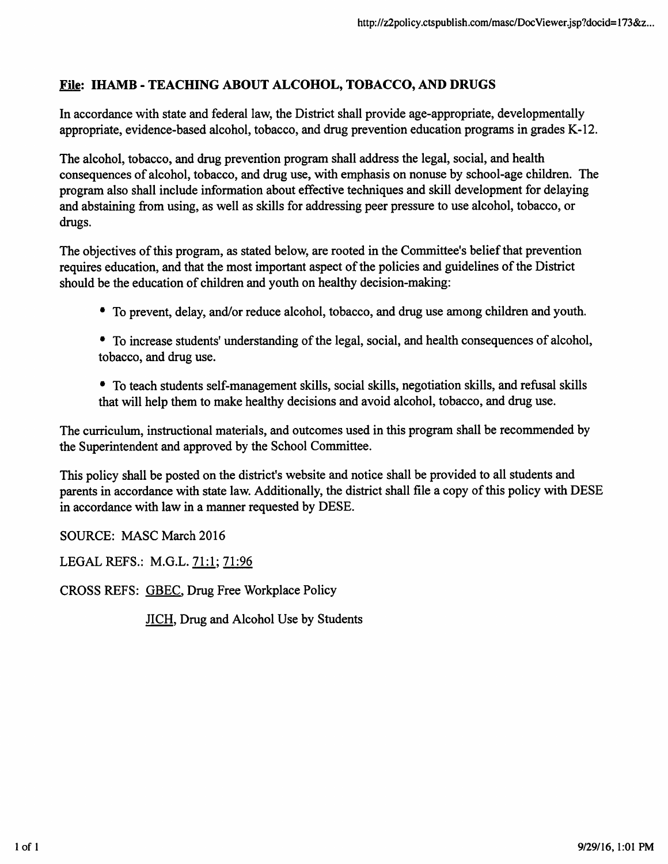## File: IHAMB - TEACHING ABOUT ALCOHOL, TOBACCO, AND DRUGS

In accordance with state and federal law, the District shall provide age-appropriate, developmentally appropriate, evidence-based alcohol, tobacco, and drug prevention education programs in grades K-12.

The alcohol, tobacco, and drug prevention program shall address the legal, social, and health consequences of alcohol, tobacco, and drug use, with emphasis on nonuse by school-age children. The program also shall include information about effective techniques and skill development for delaying and abstaining from using, as well as skills for addressing peer pressure to use alcohol, tobacco, or drugs.

The objectives of this program, as stated below, are rooted in the Committee's belief that prevention requires education, and that the most important aspect of the policies and guidelines of the District should be the education of children and youth on healthy decision-making:

- To prevent, delay, and/or reduce alcohol, tobacco, and drug use among children and youth.
- To increase students' understanding of the legal, social, and health consequences of alcohol, tobacco, and drug use.
- To teach students self-management skills, social skills, negotiation skills, and refusal skills that will help them to make healthy decisions and avoid alcohol, tobacco, and drug use.

The curriculum, instructional materials, and outcomes used in this program shall be recommended by the Superintendent and approved by the School Committee.

This policy shall be posted on the district's website and notice shall be provided to all students and parents in accordance with state law. Additionally, the district shall file a copy of this policy with DESE in accordance with law in a manner requested by DESE.

SOURCE: MASC March 2016

LEGAL REFS.: M.G.L. 71:1; 71:96

CROSS REFS: GBEC. Drug Free Workplace Policy

JICH, Drug and Alcohol Use by Students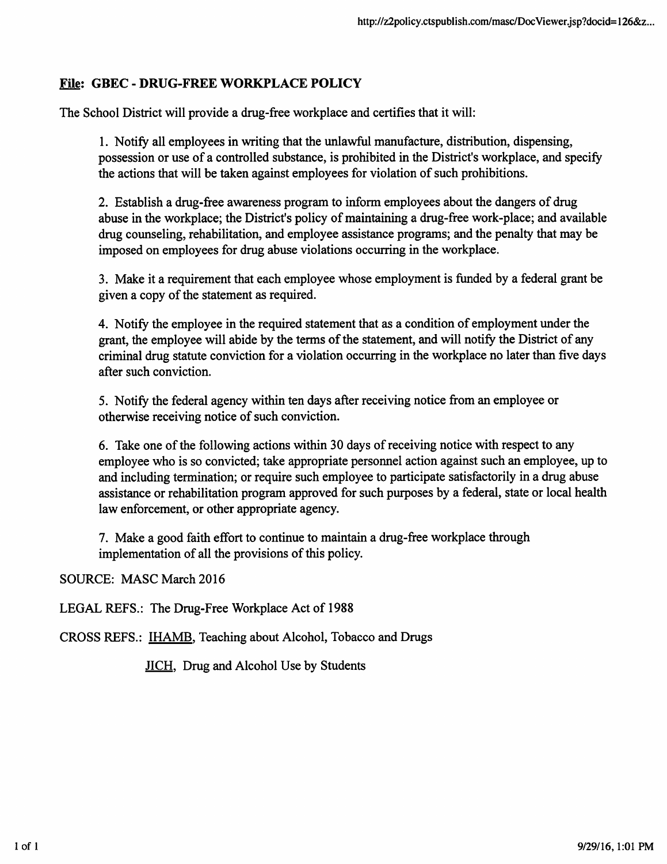## File: GBEC - DRUG-FREE WORKPLACE POLICY

The School District will provide a drug-free workplace and certifies that it will:

1. Notify all employees in writing that the unlawful manufacture, distribution, dispensing, possession or use of a controlled substance, is prohibited in the District's workplace, and specify the actions that will be taken against employees for violation of such prohibitions.

2. Establish a drug-free awareness program to inform employees about the dangers of drug abuse in the workplace; the District's policy of maintaining a drug-free work-place; and available drug counseling, rehabilitation, and employee assistance programs; and the penalty that may be imposed on employees for drug abuse violations occurring in the workplace.

3. Make it a requirement that each employee whose employment is funded by a federal grant be given a copy of the statement as required.

4. Notify the employee in the required statement that as a condition of employment under the grant, the employee will abide by the terms of the statement, and will notify the District of any criminal drug statute conviction for a violation occurring in the workplace no later than five days after such conviction.

5. Notify the federal agency within ten days after receiving notice from an employee or otherwise receiving notice of such conviction.

6. Take one of the following actions within 30 days of receiving notice with respect to any employee who is so convicted; take appropriate personnel action against such an employee, up to and including termination; or require such employee to participate satisfactorily in a drug abuse assistance or rehabilitation program approved for such purposes by a federal, state or local health law enforcement, or other appropriate agency.

7. Make a good faith effort to continue to maintain a drug-free workplace through implementation of all the provisions of this policy.

SOURCE: MASC March 2016

LEGAL REFS.: The Drug-Free Workplace Act of 1988

CROSS REFS.: IHAMB. Teaching about Alcohol, Tobacco and Drugs

JICH. Drug and Alcohol Use by Students